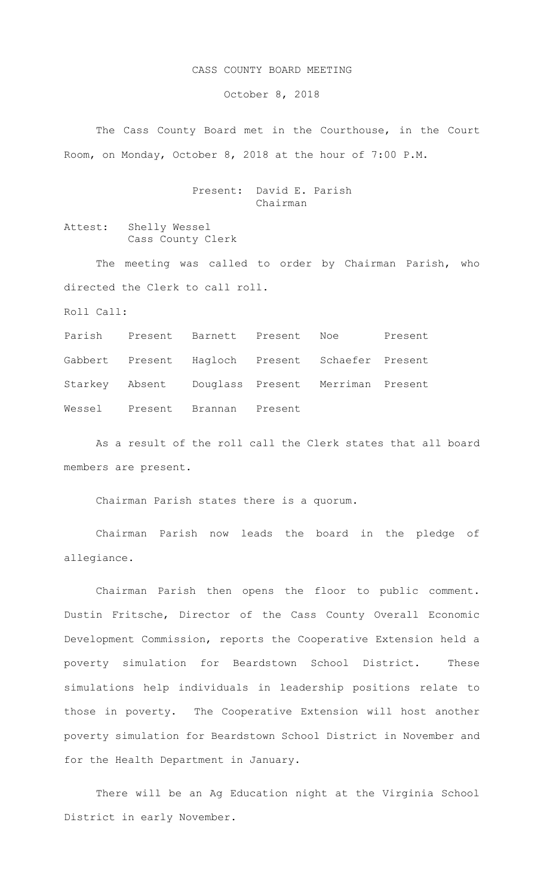## CASS COUNTY BOARD MEETING

October 8, 2018

The Cass County Board met in the Courthouse, in the Court Room, on Monday, October 8, 2018 at the hour of 7:00 P.M.

## Present: David E. Parish Chairman

Attest: Shelly Wessel Cass County Clerk

The meeting was called to order by Chairman Parish, who directed the Clerk to call roll.

Roll Call:

Parish Present Barnett Present Noe Present Gabbert Present Hagloch Present Schaefer Present Starkey Absent Douglass Present Merriman Present Wessel Present Brannan Present

As a result of the roll call the Clerk states that all board members are present.

Chairman Parish states there is a quorum.

Chairman Parish now leads the board in the pledge of allegiance.

Chairman Parish then opens the floor to public comment. Dustin Fritsche, Director of the Cass County Overall Economic Development Commission, reports the Cooperative Extension held a poverty simulation for Beardstown School District. These simulations help individuals in leadership positions relate to those in poverty. The Cooperative Extension will host another poverty simulation for Beardstown School District in November and for the Health Department in January.

There will be an Ag Education night at the Virginia School District in early November.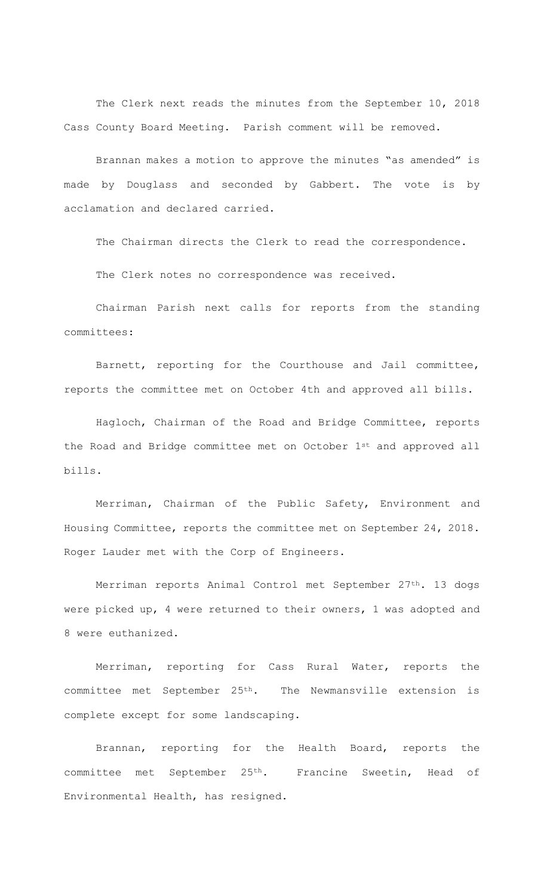The Clerk next reads the minutes from the September 10, 2018 Cass County Board Meeting. Parish comment will be removed.

Brannan makes a motion to approve the minutes "as amended" is made by Douglass and seconded by Gabbert. The vote is by acclamation and declared carried.

The Chairman directs the Clerk to read the correspondence.

The Clerk notes no correspondence was received.

Chairman Parish next calls for reports from the standing committees:

Barnett, reporting for the Courthouse and Jail committee, reports the committee met on October 4th and approved all bills.

Hagloch, Chairman of the Road and Bridge Committee, reports the Road and Bridge committee met on October 1st and approved all bills.

Merriman, Chairman of the Public Safety, Environment and Housing Committee, reports the committee met on September 24, 2018. Roger Lauder met with the Corp of Engineers.

Merriman reports Animal Control met September 27<sup>th</sup>. 13 dogs were picked up, 4 were returned to their owners, 1 was adopted and 8 were euthanized.

Merriman, reporting for Cass Rural Water, reports the committee met September 25th. The Newmansville extension is complete except for some landscaping.

Brannan, reporting for the Health Board, reports the committee met September 25th. Francine Sweetin, Head of Environmental Health, has resigned.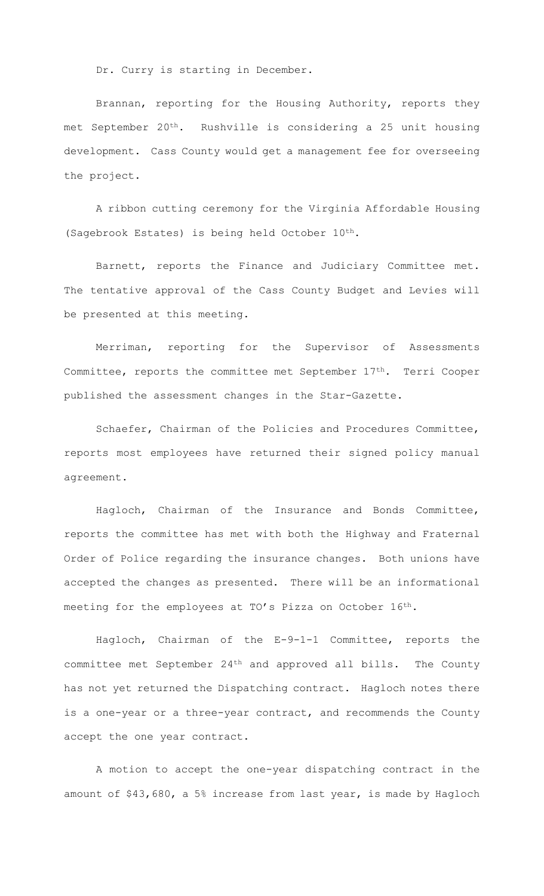Dr. Curry is starting in December.

Brannan, reporting for the Housing Authority, reports they met September 20th. Rushville is considering a 25 unit housing development. Cass County would get a management fee for overseeing the project.

A ribbon cutting ceremony for the Virginia Affordable Housing (Sagebrook Estates) is being held October 10th.

Barnett, reports the Finance and Judiciary Committee met. The tentative approval of the Cass County Budget and Levies will be presented at this meeting.

Merriman, reporting for the Supervisor of Assessments Committee, reports the committee met September 17th. Terri Cooper published the assessment changes in the Star-Gazette.

Schaefer, Chairman of the Policies and Procedures Committee, reports most employees have returned their signed policy manual agreement.

Hagloch, Chairman of the Insurance and Bonds Committee, reports the committee has met with both the Highway and Fraternal Order of Police regarding the insurance changes. Both unions have accepted the changes as presented. There will be an informational meeting for the employees at TO's Pizza on October 16th.

Hagloch, Chairman of the E-9-1-1 Committee, reports the committee met September 24th and approved all bills. The County has not yet returned the Dispatching contract. Hagloch notes there is a one-year or a three-year contract, and recommends the County accept the one year contract.

A motion to accept the one-year dispatching contract in the amount of \$43,680, a 5% increase from last year, is made by Hagloch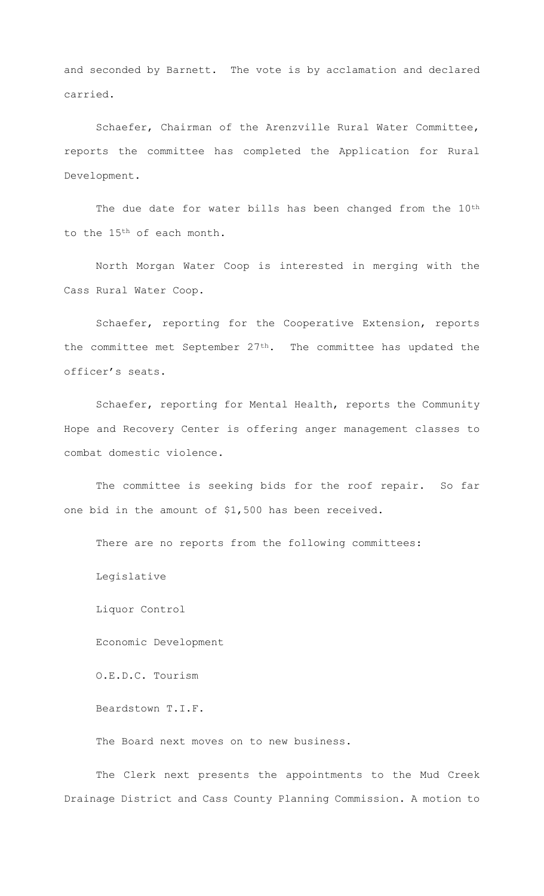and seconded by Barnett. The vote is by acclamation and declared carried.

Schaefer, Chairman of the Arenzville Rural Water Committee, reports the committee has completed the Application for Rural Development.

The due date for water bills has been changed from the 10<sup>th</sup> to the 15th of each month.

North Morgan Water Coop is interested in merging with the Cass Rural Water Coop.

Schaefer, reporting for the Cooperative Extension, reports the committee met September  $27<sup>th</sup>$ . The committee has updated the officer's seats.

Schaefer, reporting for Mental Health, reports the Community Hope and Recovery Center is offering anger management classes to combat domestic violence.

The committee is seeking bids for the roof repair. So far one bid in the amount of \$1,500 has been received.

There are no reports from the following committees:

Legislative

Liquor Control

Economic Development

O.E.D.C. Tourism

Beardstown T.I.F.

The Board next moves on to new business.

The Clerk next presents the appointments to the Mud Creek Drainage District and Cass County Planning Commission. A motion to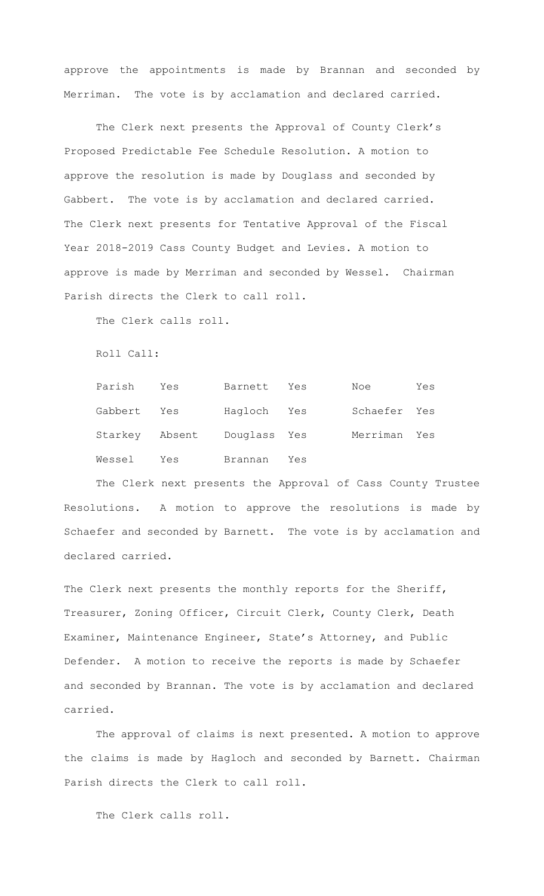approve the appointments is made by Brannan and seconded by Merriman. The vote is by acclamation and declared carried.

 The Clerk next presents the Approval of County Clerk's Proposed Predictable Fee Schedule Resolution. A motion to approve the resolution is made by Douglass and seconded by Gabbert. The vote is by acclamation and declared carried. The Clerk next presents for Tentative Approval of the Fiscal Year 2018-2019 Cass County Budget and Levies. A motion to approve is made by Merriman and seconded by Wessel. Chairman Parish directs the Clerk to call roll.

The Clerk calls roll.

Roll Call:

| Parish  | Yes                         | Barnett Yes |     | Noe          | Yes |
|---------|-----------------------------|-------------|-----|--------------|-----|
| Gabbert | Yes                         | Hagloch Yes |     | Schaefer Yes |     |
|         | Starkey Absent Douglass Yes |             |     | Merriman Yes |     |
| Wessel  | Yes                         | Brannan     | Yes |              |     |

The Clerk next presents the Approval of Cass County Trustee Resolutions. A motion to approve the resolutions is made by Schaefer and seconded by Barnett. The vote is by acclamation and declared carried.

The Clerk next presents the monthly reports for the Sheriff, Treasurer, Zoning Officer, Circuit Clerk, County Clerk, Death Examiner, Maintenance Engineer, State's Attorney, and Public Defender. A motion to receive the reports is made by Schaefer and seconded by Brannan. The vote is by acclamation and declared carried.

The approval of claims is next presented. A motion to approve the claims is made by Hagloch and seconded by Barnett. Chairman Parish directs the Clerk to call roll.

The Clerk calls roll.